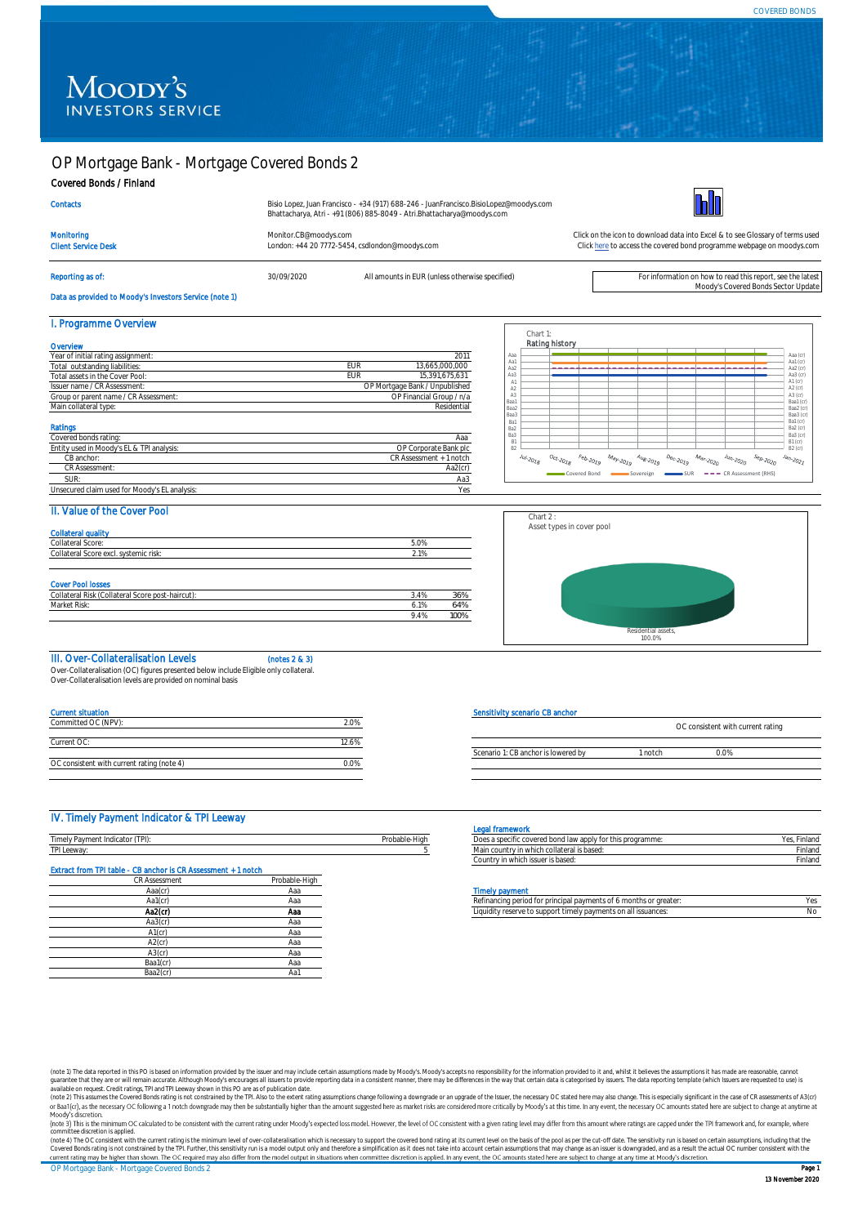## OP Mortgage Bank - Mortgage Covered Bonds 2

## Covered Bonds / Finland

| Bisio Lopez, Juan Francisco - +34 (917) 688-246 - JuanFrancisco.BisioLopez@moodys.com |
|---------------------------------------------------------------------------------------|
| Bhattacharya, Atri - +91 (806) 885-8049 - Atri.Bhattacharya@moodys.com                |



Client Service Desk London: +44 20 7772-5454, csdlondon@moodys.com

Monitoring [Monitor.CB@moodys.com](mailto:Monitor.CB@moodys.com) Monitor.CB@moodys.com Click on the icon to download data into Excel & to see Glossary of terms used<br>Click here to access the covered bond programme webpage on moodys.com Click here to acces [Click here](https://www.moodys.com/credit-ratings/OP-Mortgage-Bank--Mortgage-Covered-Bonds-2-credit-rating-722101483) to access the covered bond programme webpage on moodys.com

# Reporting as of: see the latest and the move of the S0/09/2020 All amounts in EUR (unless otherwise specified)<br>Moody's Covered Bonds Sector Update محافة المستحدة المستحدة المستحدة المستحدة المستحدة المستحدة المستحدة المستح

**Contacts** 

Data as provided to Moody's Investors Service (note 1)

## I. Programme Overview

| Year of initial rating assignment:                                         |     | 2011                                             |
|----------------------------------------------------------------------------|-----|--------------------------------------------------|
| Total outstanding liabilities:                                             | FUR | 13.665.000.000                                   |
| Total assets in the Cover Pool:                                            | EUR | 15.391.675.631                                   |
| Issuer name / CR Assessment:                                               |     | OP Mortgage Bank / Unpublished                   |
| Group or parent name / CR Assessment:                                      |     | OP Financial Group / n/a                         |
| Main collateral type:                                                      |     | Residential                                      |
| Ratings                                                                    |     | Ааа                                              |
|                                                                            |     |                                                  |
|                                                                            |     |                                                  |
| CB anchor:                                                                 |     | OP Corporate Bank plc<br>CR Assessment + 1 notch |
| CR Assessment:                                                             |     | $Aa2$ (cr)                                       |
| Covered bonds rating:<br>Entity used in Moody's EL & TPI analysis:<br>SUR: |     | Aa3                                              |



## II. Value of the Cover Pool

| <b>Collateral quality</b>                        |      |      |
|--------------------------------------------------|------|------|
| Collateral Score:                                | 5.0% |      |
| Collateral Score excl. systemic risk:            | 2.1% |      |
|                                                  |      |      |
| <b>Cover Pool losses</b>                         |      |      |
| Collateral Risk (Collateral Score post-haircut): | 3.4% | 36%  |
| Market Risk:                                     | 6.1% | 64%  |
|                                                  | 9.4% | 100% |



### III. Over-Collateralisation Levels (notes 2 & 3)

Over-Collateralisation (OC) figures presented below include Eligible only collateral.

Over-Collateralisation levels are provided on nominal basis

| <b>Current situation</b>                   |       |
|--------------------------------------------|-------|
| Committed OC (NPV):                        | 2.0%  |
|                                            |       |
| Current OC:                                | 12.6% |
|                                            |       |
| OC consistent with current rating (note 4) | 0.0%  |

### Sensitivity scenario CB anchor

|                                     |       | OC consistent with current rating |  |
|-------------------------------------|-------|-----------------------------------|--|
| Scenario 1: CB anchor is lowered by | notch | $\cap\%$                          |  |
|                                     |       |                                   |  |

### IV. Timely Payment Indicator & TPI Leeway

|                                |                          | אונוסוויסוווייט                         |         |
|--------------------------------|--------------------------|-----------------------------------------|---------|
| TDI<br>Timery Pavin<br>11.7111 | 1.11<br>∍-HiG<br>unanic- | <br>this programme:                     | тнаг    |
| TPI Leeway                     |                          | ∽ollateral is baseu.<br><b>I VYHIGI</b> | Finland |
|                                |                          | `ountry in which iccuor is hasod:       | Einland |

## Extract from TPI table - CB anchor is CR Assessment + 1 notch

| CR Assessment<br>Aaa(cr)<br>Aa1(cr) | Probable-High<br>Aaa |
|-------------------------------------|----------------------|
|                                     |                      |
|                                     |                      |
|                                     | Aaa                  |
| Aa2(cr)                             | Ааа                  |
| Aa3(cr)                             | Aaa                  |
| $A1$ (cr)                           | Aaa                  |
| $A2$ (cr)                           | Aaa                  |
| $A3$ (cr)                           | Aaa                  |
| Baa1(cr)                            | Aaa                  |
| Baa2(cr)                            | Aa1                  |
|                                     |                      |

| Legal framew |  |
|--------------|--|

| <b>Legal framework</b>                                     |              |
|------------------------------------------------------------|--------------|
| Does a specific covered bond law apply for this programme: | Yes, Finland |
| Main country in which collateral is based:                 | Finland      |
| Country in which issuer is based:                          | Finland      |
|                                                            |              |

### **Timely payment**

| Aa1(cr | Ha. | financing period for principal payments of 6 months or greater:                 |    |
|--------|-----|---------------------------------------------------------------------------------|----|
| Aa2(cr | Aa. | reserve to support timely payments on all is<br>issuances<br>iauidi<br>CASADO - | N٥ |

(note 1) The data reported in this PO is based on information provided by the issuer and may include certain assumptions made by Moody's. Moody's accepts no responsibility for the information provided to it and, whilst it guarantee that they are or will remain accurate. Although Moody's encourages all issuers to provide reporting data in a consistent manner, there may be differences in the way that certain data is categorised by issuers. Th

committee discretion is applied.<br>(note 4) The OC consistent with the current rating is the minimum level of over-collateralisation which is necessary to support the covered bond rating at its current level on the basis of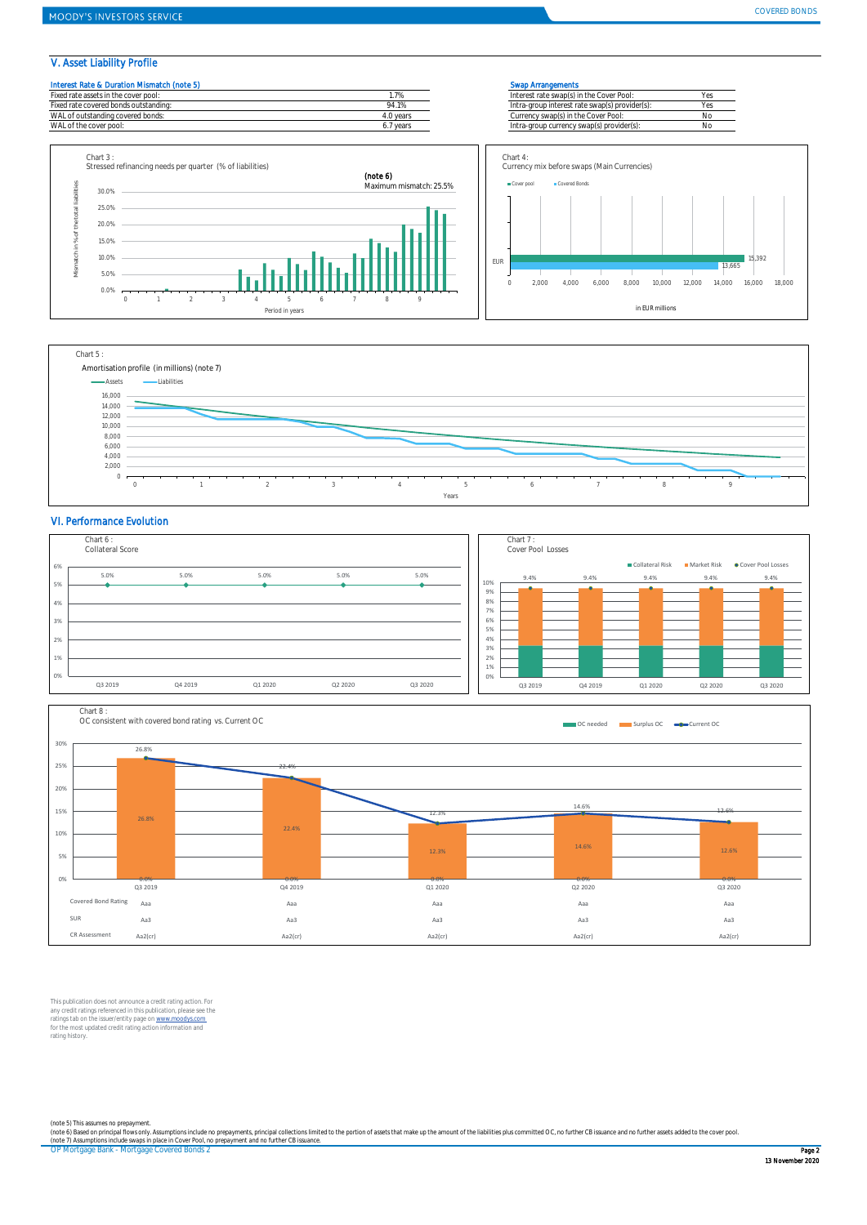## V. Asset Liability Profile









### VI. Performance Evolution





This publication does not announce a credit rating action. For<br>any credit ratings referenced in this publication, please see the<br>ratings tab on the issuer/entity page on www.moodys.com<br>for the most updated credit rating ac rating history.

(note 5) This assumes no prepayment.<br>(note 6) Based on principal flows only Assumptions include no prepayments, principal collections limited to the portion of assets that make up the amount of the liabilities plus committ

OP Mortgage Bank - Mortgage Covered Bonds 2 Page 2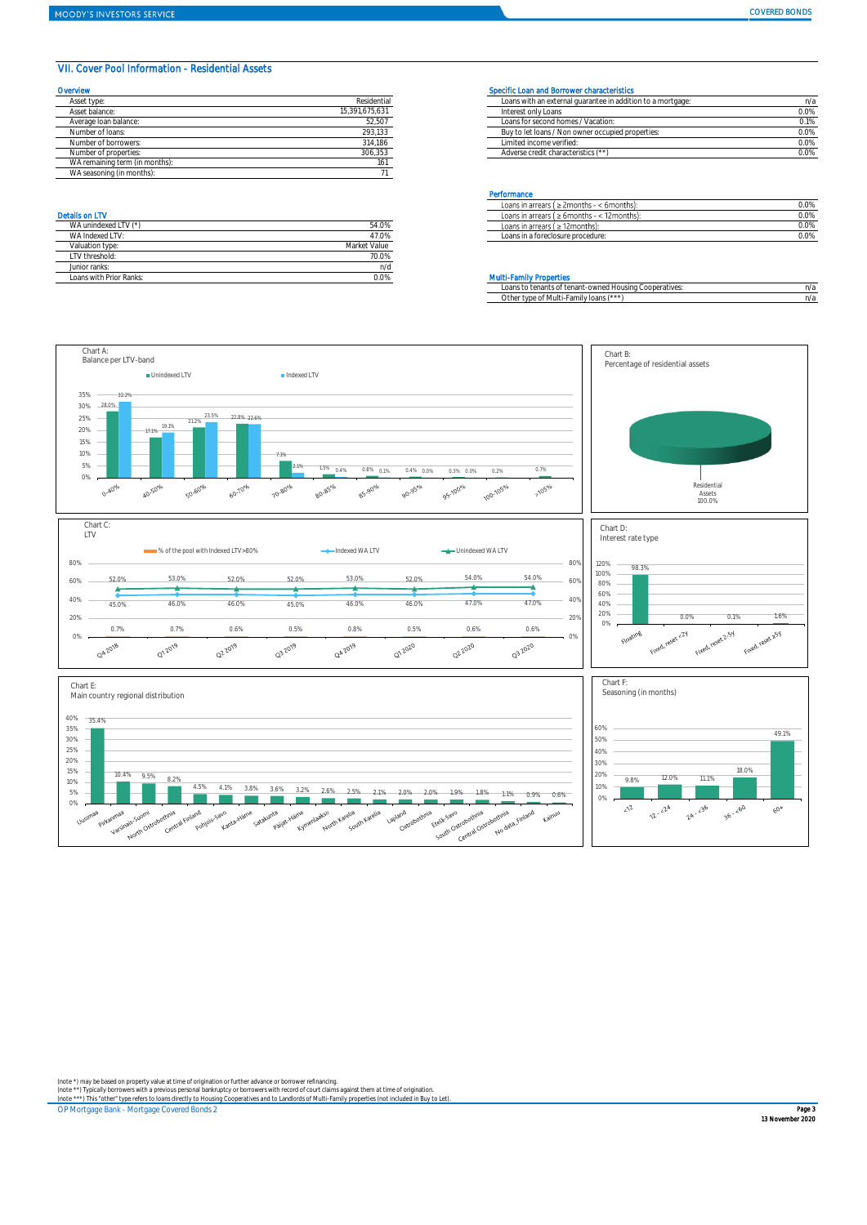### VII. Cover Pool Information - Residential Assets

| Overvlew                       |                | Specific Loan and Borrower characteristics                  |      |
|--------------------------------|----------------|-------------------------------------------------------------|------|
| Asset type:                    | Residential    | Loans with an external quarantee in addition to a mortgage: | n/z  |
| Asset balance:                 | 15,391,675,631 | Interest only Loans                                         | 0.0% |
| Average loan balance:          | 52,507         | Loans for second homes / Vacation:                          | 0.1% |
| Number of loans:               | 293,133        | Buy to let loans / Non owner occupied properties:           | 0.0% |
| Number of borrowers:           | 314,186        | Limited income verified:                                    | 0.0% |
| Number of properties:          | 306.353        | Adverse credit characteristics (**)                         | 0.0% |
| WA remaining term (in months): | 161            |                                                             |      |
| WA seasoning (in months):      |                |                                                             |      |

| WA unindexed LTV (*)    | 54.0%        |
|-------------------------|--------------|
| WA Indexed I TV:        | 47.0%        |
| Valuation type:         | Market Value |
| LTV threshold:          | 70.0%        |
| Junior ranks:           | n/d          |
| Loans with Prior Ranks: | ገ በ%         |

| Asset type            | Residential    | Loans with an external quarantee in addition to a mortgage: | n/a  |  |
|-----------------------|----------------|-------------------------------------------------------------|------|--|
| Asset balance:        | 15,391,675,631 | Interest only Loans                                         | 0.0% |  |
| Average Ioan balance: | 52,507         | Loans for second homes / Vacation:                          | 0.1% |  |
| Number of loans:      | 293,133        | Buy to let loans / Non owner occupied properties:           | 0.0% |  |
| Number of borrowers:  | 314.186        | Limited income verified:                                    | 0.0% |  |
| Number of properties: | 306,353        | Adverse credit characteristics (**                          | 0.0% |  |

### **Performance**

|                           |               | .                                                    |      |
|---------------------------|---------------|------------------------------------------------------|------|
|                           |               | Loans in arrears ( $\geq$ 2months - < 6months):      | 0.0% |
| <b>Details on LTV</b>     |               | < 12months).<br>Loans in arrears ( $\geq 6$ months - | 0.0% |
| WA unindexed L            | 09.U70        | Loans in arrears ( $\geq$ 12 months):                | 0.0% |
| ALC: YES<br>WA Indexed L1 | $-1$<br>-7.U% | Loans in a foreclosure procedure:                    | 0.0% |
|                           |               |                                                      |      |

### **Multi-Family Properties**

|                                        | Loans to tenants of tenant-owned Housing Cooperatives: | n/a |
|----------------------------------------|--------------------------------------------------------|-----|
| Other type of Multi-Family loans (***) |                                                        | η/a |



(note \*) may be based on property value at time of origination or further advance or borrower refinancing.<br>(note \*\*) Typically borrowers with a previous personal bankruptcy or borrowers with record of court claims against

OP Mortgage Bank - Mortgage Covered Bonds 2 **Page 3 Page 3 Page 3 Page 3 Page 3 Page 3 Page 3 Page 3 Page 3 Page 3 Page 3 Page 3 Page 3 Page 3 Page 3 Page 3 Page 3 Page 3 Page 3 Page 3 Page 3 Page 3 Page 3 Page 3 Page 3 Pa**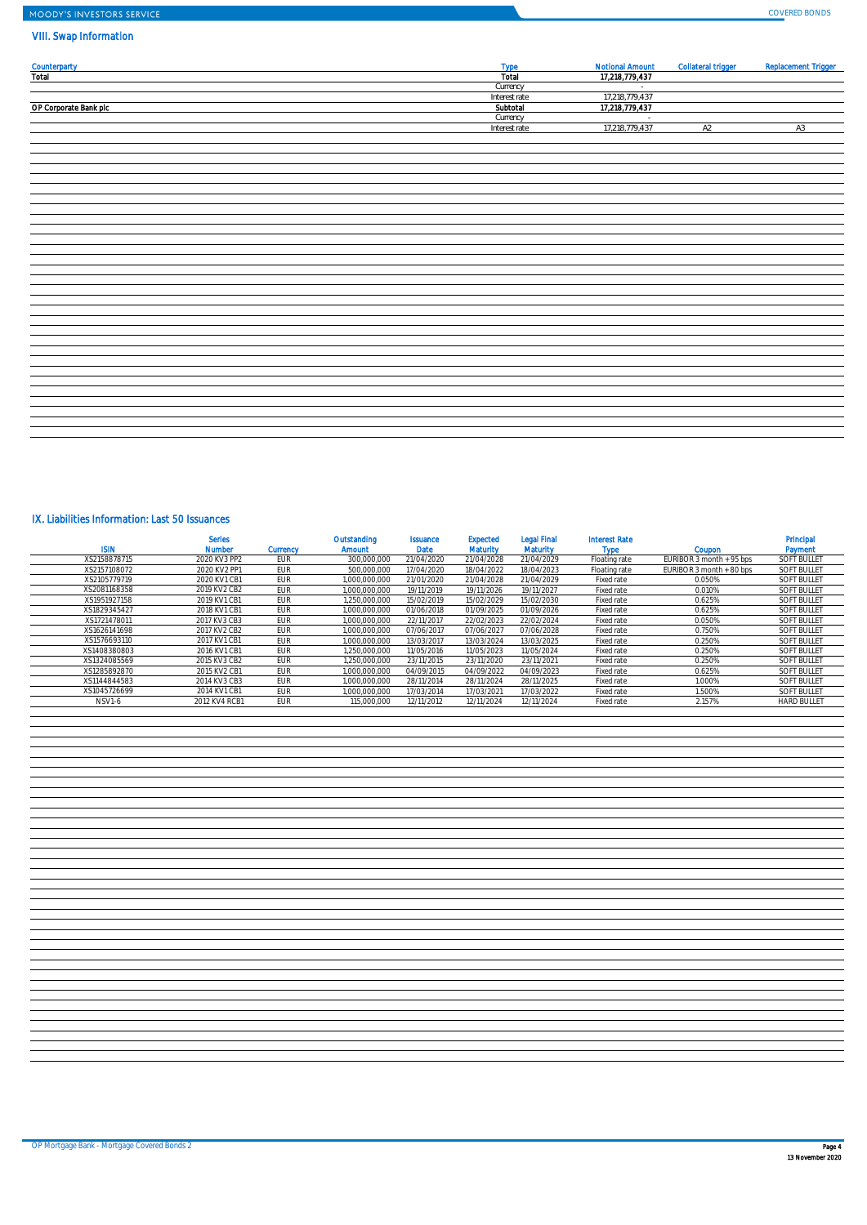# MOODY'S INVESTORS SERVICE

## VIII. Swap Information

|                              | <b>Type</b>   | <b>Notional Amount</b>   | <b>Collateral trigger</b> | <b>Replacement Trigger</b> |
|------------------------------|---------------|--------------------------|---------------------------|----------------------------|
| <b>Counterparty</b><br>Total | Total         | 17,218,779,437           |                           |                            |
|                              | Currency      | $\sim$                   |                           |                            |
|                              | Interest rate | 17,218,779,437           |                           |                            |
|                              | Subtotal      |                          |                           |                            |
| OP Corporate Bank plc        |               | 17,218,779,437           |                           |                            |
|                              | Currency      | $\sim$<br>17,218,779,437 |                           |                            |
|                              | Interest rate |                          | A2                        | A3                         |
|                              |               |                          |                           |                            |
|                              |               |                          |                           |                            |
|                              |               |                          |                           |                            |
|                              |               |                          |                           |                            |
|                              |               |                          |                           |                            |
|                              |               |                          |                           |                            |
|                              |               |                          |                           |                            |
|                              |               |                          |                           |                            |
|                              |               |                          |                           |                            |
|                              |               |                          |                           |                            |
|                              |               |                          |                           |                            |
|                              |               |                          |                           |                            |
|                              |               |                          |                           |                            |
|                              |               |                          |                           |                            |
|                              |               |                          |                           |                            |
|                              |               |                          |                           |                            |
|                              |               |                          |                           |                            |
|                              |               |                          |                           |                            |
|                              |               |                          |                           |                            |
|                              |               |                          |                           |                            |
|                              |               |                          |                           |                            |
|                              |               |                          |                           |                            |
|                              |               |                          |                           |                            |
|                              |               |                          |                           |                            |
|                              |               |                          |                           |                            |
|                              |               |                          |                           |                            |
|                              |               |                          |                           |                            |
|                              |               |                          |                           |                            |
|                              |               |                          |                           |                            |
|                              |               |                          |                           |                            |

## IX. Liabilities Information: Last 50 Issuances

| <b>ISIN</b>  | <b>Serles</b><br><b>Number</b> | <b>Currency</b> | Outstanding<br><b>Amount</b> | <b>Issuance</b><br><b>Date</b> | <b>Expected</b><br><b>Maturity</b> | <b>Legal Final</b><br><b>Maturity</b> | <b>Interest Rate</b><br><b>Type</b> | Coupon                   | Principal<br>Payment |
|--------------|--------------------------------|-----------------|------------------------------|--------------------------------|------------------------------------|---------------------------------------|-------------------------------------|--------------------------|----------------------|
| XS2158878715 | 2020 KV3 PP2                   | <b>EUR</b>      | 300.000.000                  | 21/04/2020                     | 21/04/2028                         | 21/04/2029                            | Floating rate                       | EURIBOR 3 month + 95 bps | <b>SOFT BULLET</b>   |
| XS2157108072 | 2020 KV2 PP1                   | <b>EUR</b>      | 500.000.000                  | 17/04/2020                     | 18/04/2022                         | 18/04/2023                            | Floating rate                       | EURIBOR 3 month + 80 bps | <b>SOFT BULLET</b>   |
| XS2105779719 | 2020 KV1 CB1                   | <b>EUR</b>      | 1.000.000.000                | 21/01/2020                     | 21/04/2028                         | 21/04/2029                            | Fixed rate                          | 0.050%                   | <b>SOFT BULLET</b>   |
| XS2081168358 | 2019 KV2 CB2                   | <b>EUR</b>      | 1.000.000.000                | 19/11/2019                     | 19/11/2026                         | 19/11/2027                            | Fixed rate                          | 0.010%                   | <b>SOFT BULLET</b>   |
| XS1951927158 | 2019 KV1 CB1                   | <b>EUR</b>      | 1.250.000.000                | 15/02/2019                     | 15/02/2029                         | 15/02/2030                            | Fixed rate                          | 0.625%                   | <b>SOFT BULLET</b>   |
| XS1829345427 | 2018 KV1 CB1                   | <b>EUR</b>      | 1.000.000.000                | 01/06/2018                     | 01/09/2025                         | 01/09/2026                            | Fixed rate                          | 0.625%                   | <b>SOFT BULLET</b>   |
| XS1721478011 | 2017 KV3 CB3                   | <b>EUR</b>      | 1.000.000.000                | 22/11/2017                     | 22/02/2023                         | 22/02/2024                            | Fixed rate                          | 0.050%                   | <b>SOFT BULLET</b>   |
| XS1626141698 | 2017 KV2 CB2                   | EUR             | 1.000.000.000                | 07/06/2017                     | 07/06/2027                         | 07/06/2028                            | Fixed rate                          | 0.750%                   | <b>SOFT BULLET</b>   |
| XS1576693110 | 2017 KV1 CB1                   | EUR             | 1.000.000.000                | 13/03/2017                     | 13/03/2024                         | 13/03/2025                            | Fixed rate                          | 0.250%                   | <b>SOFT BULLET</b>   |
| XS1408380803 | 2016 KV1 CB1                   | EUR             | 1.250.000.000                | 11/05/2016                     | 11/05/2023                         | 11/05/2024                            | Fixed rate                          | 0.250%                   | <b>SOFT BULLET</b>   |
| XS1324085569 | 2015 KV3 CB2                   | <b>EUR</b>      | 1.250.000.000                | 23/11/2015                     | 23/11/2020                         | 23/11/2021                            | Fixed rate                          | 0.250%                   | <b>SOFT BULLET</b>   |
| XS1285892870 | 2015 KV2 CB1                   | EUR             | 1.000.000.000                | 04/09/2015                     | 04/09/2022                         | 04/09/2023                            | Fixed rate                          | 0.625%                   | <b>SOFT BULLET</b>   |
| XS1144844583 | 2014 KV3 CB3                   | <b>EUR</b>      | 1.000.000.000                | 28/11/2014                     | 28/11/2024                         | 28/11/2025                            | Fixed rate                          | 1.000%                   | <b>SOFT BULLET</b>   |
| XS1045726699 | 2014 KV1 CB1                   | EUR             | 1.000.000.000                | 17/03/2014                     | 17/03/2021                         | 17/03/2022                            | Fixed rate                          | 1.500%                   | <b>SOFT BULLET</b>   |
| NSV1-6       | 2012 KV4 RCB1                  | <b>EUR</b>      | 115.000.000                  | 12/11/2012                     | 12/11/2024                         | 12/11/2024                            | Fixed rate                          | 2.157%                   | <b>HARD BULLET</b>   |